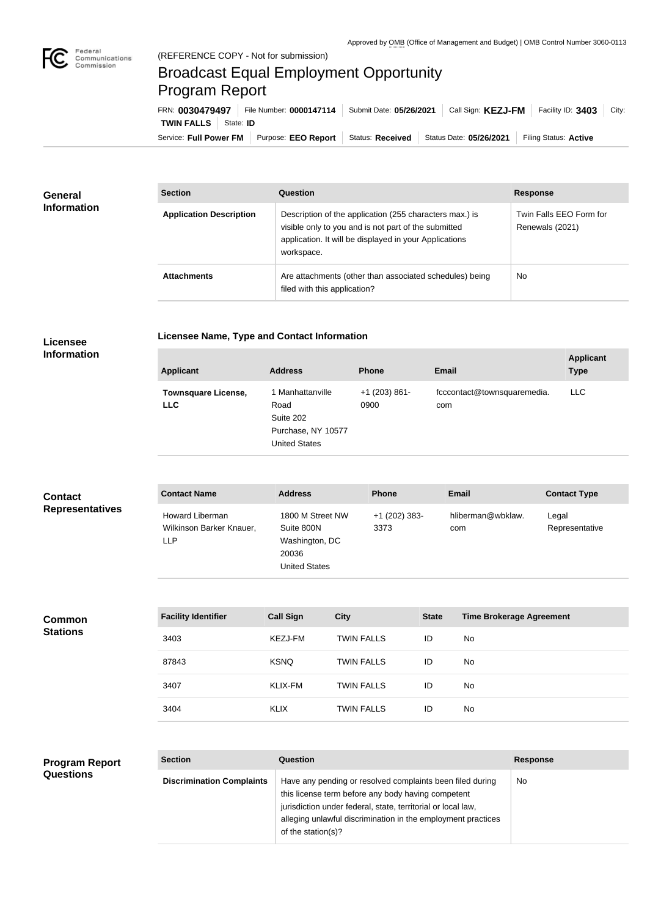

## Broadcast Equal Employment Opportunity Program Report

Service: Full Power FM Purpose: EEO Report | Status: Received | Status Date: 05/26/2021 | Filing Status: Active **TWIN FALLS** State: **ID** FRN: **0030479497** File Number: **0000147114** Submit Date: **05/26/2021** Call Sign: **KEZJ-FM** Facility ID: **3403** City:

| <b>General</b><br><b>Information</b> | <b>Section</b>                 | Question                                                                                                                                                                                | <b>Response</b>                            |  |
|--------------------------------------|--------------------------------|-----------------------------------------------------------------------------------------------------------------------------------------------------------------------------------------|--------------------------------------------|--|
|                                      | <b>Application Description</b> | Description of the application (255 characters max.) is<br>visible only to you and is not part of the submitted<br>application. It will be displayed in your Applications<br>workspace. | Twin Falls EEO Form for<br>Renewals (2021) |  |
|                                      | <b>Attachments</b>             | Are attachments (other than associated schedules) being<br>filed with this application?                                                                                                 | <b>No</b>                                  |  |

## **Licensee Information**

**Licensee Name, Type and Contact Information**

| <b>Applicant</b>                         | <b>Address</b>                                                                      | <b>Phone</b>            | <b>Email</b>                       | <b>Applicant</b><br><b>Type</b> |
|------------------------------------------|-------------------------------------------------------------------------------------|-------------------------|------------------------------------|---------------------------------|
| <b>Townsquare License,</b><br><b>LLC</b> | 1 Manhattanville<br>Road<br>Suite 202<br>Purchase, NY 10577<br><b>United States</b> | $+1$ (203) 861-<br>0900 | fcccontact@townsquaremedia.<br>com | LLC.                            |

| <b>Contact</b>         | <b>Contact Name</b>                                       | <b>Address</b>                                                                    | <b>Phone</b>            | <b>Email</b>             | <b>Contact Type</b>     |
|------------------------|-----------------------------------------------------------|-----------------------------------------------------------------------------------|-------------------------|--------------------------|-------------------------|
| <b>Representatives</b> | Howard Liberman<br>Wilkinson Barker Knauer,<br><b>LLP</b> | 1800 M Street NW<br>Suite 800N<br>Washington, DC<br>20036<br><b>United States</b> | $+1$ (202) 383-<br>3373 | hliberman@wbklaw.<br>com | Legal<br>Representative |

| <b>Common</b><br><b>Stations</b> | <b>Facility Identifier</b> | <b>Call Sign</b> | <b>City</b>       | <b>State</b> | <b>Time Brokerage Agreement</b> |
|----------------------------------|----------------------------|------------------|-------------------|--------------|---------------------------------|
|                                  | 3403                       | <b>KEZJ-FM</b>   | <b>TWIN FALLS</b> | ID           | No                              |
|                                  | 87843                      | <b>KSNQ</b>      | <b>TWIN FALLS</b> | ID           | No                              |
|                                  | 3407                       | KLIX-FM          | <b>TWIN FALLS</b> | ID           | No                              |
|                                  | 3404                       | <b>KLIX</b>      | <b>TWIN FALLS</b> | ID           | No                              |

## **Program Report Questions**

| <b>Section</b>                   | Question                                                                                                                                                                                                                                                              | <b>Response</b> |
|----------------------------------|-----------------------------------------------------------------------------------------------------------------------------------------------------------------------------------------------------------------------------------------------------------------------|-----------------|
| <b>Discrimination Complaints</b> | Have any pending or resolved complaints been filed during<br>this license term before any body having competent<br>jurisdiction under federal, state, territorial or local law,<br>alleging unlawful discrimination in the employment practices<br>of the station(s)? | No              |